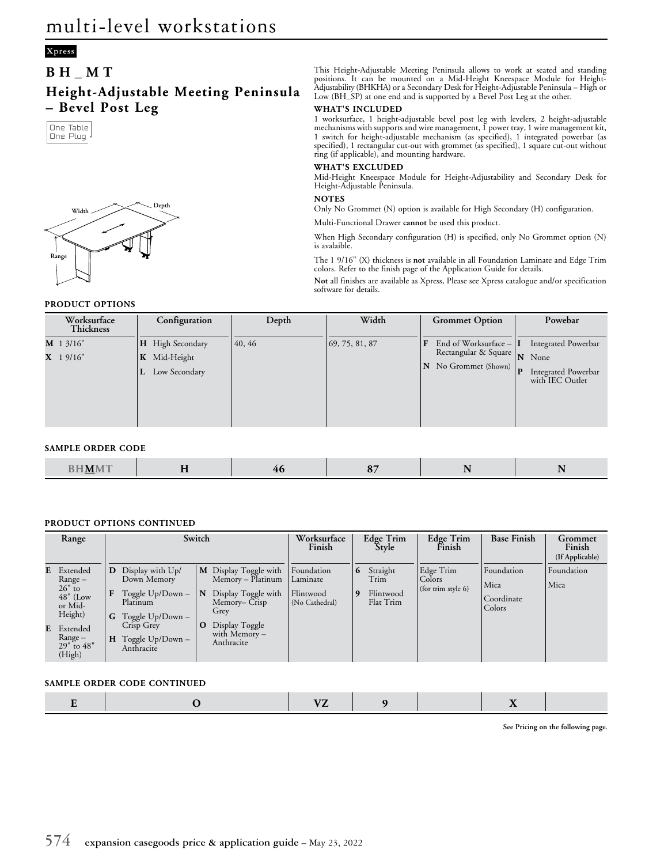# **Xpress**

# **BH\_MT**

**Height-Adjustable Meeting Peninsula – Bevel Post Leg**





This Height-Adjustable Meeting Peninsula allows to work at seated and standing positions. It can be mounted on a Mid-Height Kneespace Module for Height-Adjustability (BHKHA) or a Secondary Desk for Height-Adjustable Peninsula – High or Low (BH\_SP) at one end and is supported by a Bevel Post Leg at the other.

#### **WHAT'S INCLUDED**

1 worksurface, 1 height-adjustable bevel post leg with levelers, 2 height-adjustable mechanisms with supports and wire management, 1 power tray, 1 wire management kit, 1 switch for height-adjustable mechanism (as specified), 1 integrated powerbar (as specified), 1 rectangular cut-out with grommet (as specified), 1 square cut-out without ring (if applicable), and mounting hardware.

### **WHAT'S EXCLUDED**

Mid-Height Kneespace Module for Height-Adjustability and Secondary Desk for Height-Adjustable Peninsula.

### **NOTES**

Only No Grommet (N) option is available for High Secondary (H) configuration.

Multi-Functional Drawer **cannot** be used this product.

When High Secondary configuration (H) is specified, only No Grommet option (N) is avalaible.

The 1 9/16" (X) thickness is **not** available in all Foundation Laminate and Edge Trim colors. Refer to the finish page of the Application Guide for details.

**Not** all finishes are available as Xpress, Please see Xpress catalogue and/or specification software for details.

**PRODUCT OPTIONS**

| Worksurface<br>Thickness   | Configuration                                                          | Depth  | Width                        | <b>Grommet Option</b>                                                          | Powebar                                                                                 |
|----------------------------|------------------------------------------------------------------------|--------|------------------------------|--------------------------------------------------------------------------------|-----------------------------------------------------------------------------------------|
| $M$ 1 3/16"<br>$X$ 1 9/16" | <b>H</b> High Secondary<br>Mid-Height<br>$\mathbf{K}$<br>Low Secondary | 40, 46 | $\vert 69, 75, 81, 87 \vert$ | End of Worksurface $- I $<br>F<br>Rectangular & Square<br>N No Grommet (Shown) | Integrated Powerbar<br>N None<br>$\mathbf{P}$<br>Integrated Powerbar<br>with IEC Outlet |

## **SAMPLE ORDER CODE**

|  | <b>THE FEMALE</b><br><b>The Contract Contract Contract Contract Contract Contract Contract Contract Contract Contract Contract Contract Contract Contract Contract Contract Contract Contract Contract Contract Contract Contract Contract Contract C</b><br>M.<br><u>___</u> | $- -$ | ___ | -- | . . | $\sim$ |
|--|-------------------------------------------------------------------------------------------------------------------------------------------------------------------------------------------------------------------------------------------------------------------------------|-------|-----|----|-----|--------|
|--|-------------------------------------------------------------------------------------------------------------------------------------------------------------------------------------------------------------------------------------------------------------------------------|-------|-----|----|-----|--------|

## **PRODUCT OPTIONS CONTINUED**

| Range                                                                                                                             |                   | Switch                                                                                                                             |                   |                                                                                                                                             | Worksurface<br>Finish                                 |                   | Edge Trim<br>Style                         | Edge Trim<br>Finish                       | <b>Base Finish</b>                         | Grommet<br>Finish<br>(If Applicable) |
|-----------------------------------------------------------------------------------------------------------------------------------|-------------------|------------------------------------------------------------------------------------------------------------------------------------|-------------------|---------------------------------------------------------------------------------------------------------------------------------------------|-------------------------------------------------------|-------------------|--------------------------------------------|-------------------------------------------|--------------------------------------------|--------------------------------------|
| E Extended<br>$Range -$<br>$26"$ to<br>$48"$ (Low<br>or Mid-<br>Height)<br><b>E</b> Extended<br>Range –<br>$29"$ to 48"<br>(High) | D<br>F<br>G.<br>H | Display with Up/<br>Down Memory<br>Toggle Up/Down-<br>Platinum<br>Toggle Up/Down -<br>Crisp Grey<br>Toggle Up/Down -<br>Anthracite | N<br>$\mathbf{o}$ | M Display Toggle with<br>Memory - Platinum<br>Display Toggle with<br>Memory– Crisp<br>Grey<br>Display Toggle<br>with Memory -<br>Anthracite | Foundation<br>Laminate<br>Flintwood<br>(No Cathedral) | $\mathbf{r}$<br>q | Straight<br>Trim<br>Flintwood<br>Flat Trim | Edge Trim<br>Colors<br>(for trim style 6) | Foundation<br>Mica<br>Coordinate<br>Colors | Foundation<br>Mica                   |

#### **SAMPLE ORDER CODE CONTINUED**

|--|--|--|--|--|--|--|--|

**See Pricing on the following page.**